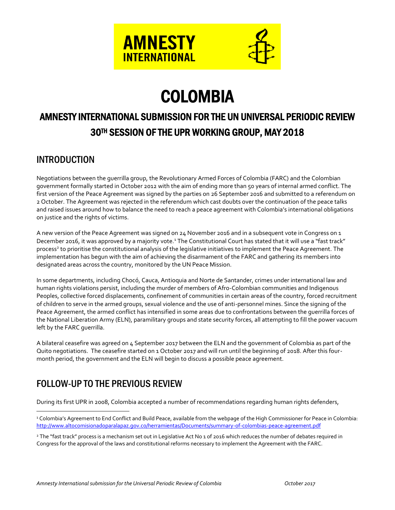



# COLOMBIA

# AMNESTY INTERNATIONAL SUBMISSION FOR THE UN UNIVERSAL PERIODIC REVIEW 30TH SESSION OF THE UPR WORKING GROUP, MAY 2018

# INTRODUCTION

Negotiations between the guerrilla group, the Revolutionary Armed Forces of Colombia (FARC) and the Colombian government formally started in October 2012 with the aim of ending more than 50 years of internal armed conflict. The first version of the Peace Agreement was signed by the parties on 26 September 2016 and submitted to a referendum on 2 October. The Agreement was rejected in the referendum which cast doubts over the continuation of the peace talks and raised issues around how to balance the need to reach a peace agreement with Colombia's international obligations on justice and the rights of victims.

A new version of the Peace Agreement was signed on 24 November 2016 and in a subsequent vote in Congress on 1 December 2016, it was approved by a majority vote.<sup>1</sup> The Constitutional Court has stated that it will use a "fast track" process<sup>2</sup> to prioritise the constitutional analysis of the legislative initiatives to implement the Peace Agreement. The implementation has begun with the aim of achieving the disarmament of the FARC and gathering its members into designated areas across the country, monitored by the UN Peace Mission.

In some departments, including Chocó, Cauca, Antioquia and Norte de Santander, crimes under international law and human rights violations persist, including the murder of members of Afro-Colombian communities and Indigenous Peoples, collective forced displacements, confinement of communities in certain areas of the country, forced recruitment of children to serve in the armed groups, sexual violence and the use of anti-personnel mines. Since the signing of the Peace Agreement, the armed conflict has intensified in some areas due to confrontations between the guerrilla forces of the National Liberation Army (ELN), paramilitary groups and state security forces, all attempting to fill the power vacuum left by the FARC guerrilla.

A bilateral ceasefire was agreed on 4 September 2017 between the ELN and the government of Colombia as part of the Quito negotiations. The ceasefire started on 1 October 2017 and will run until the beginning of 2018. After this fourmonth period, the government and the ELN will begin to discuss a possible peace agreement.

# FOLLOW-UP TO THE PREVIOUS REVIEW

 $\overline{a}$ 

During its first UPR in 2008, Colombia accepted a number of recommendations regarding human rights defenders,

<sup>&</sup>lt;sup>1</sup> Colombia's Agreement to End Conflict and Build Peace, available from the webpage of the High Commissioner for Peace in Colombia: [http://www.altocomisionadoparalapaz.gov.co/herramientas/Documents/summary-of-colombias-peace-agreement.pdf](http://www.altocomisionadoparalapaz.gov.co/procesos-y-conversaciones/Documentos%20compartidos/24-11-2016NuevoAcuerdoFinal.pdf)

<sup>&</sup>lt;sup>2</sup> The "fast track" process is a mechanism set out in Legislative Act No 1 of 2016 which reduces the number of debates required in Congress for the approval of the laws and constitutional reforms necessary to implement the Agreement with the FARC.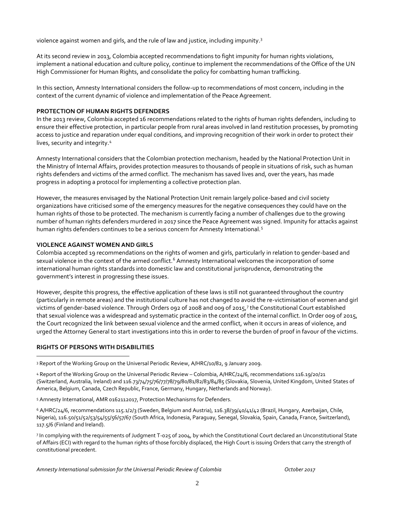violence against women and girls, and the rule of law and justice, including impunity.<sup>3</sup>

At its second review in 2013, Colombia accepted recommendations to fight impunity for human rights violations, implement a national education and culture policy, continue to implement the recommendations of the Office of the UN High Commissioner for Human Rights, and consolidate the policy for combatting human trafficking.

In this section, Amnesty International considers the follow-up to recommendations of most concern, including in the context of the current dynamic of violence and implementation of the Peace Agreement.

#### **PROTECTION OF HUMAN RIGHTS DEFENDERS**

In the 2013 review, Colombia accepted 16 recommendations related to the rights of human rights defenders, including to ensure their effective protection, in particular people from rural areas involved in land restitution processes, by promoting access to justice and reparation under equal conditions, and improving recognition of their work in order to protect their lives, security and integrity.<sup>4</sup>

Amnesty International considers that the Colombian protection mechanism, headed by the National Protection Unit in the Ministry of Internal Affairs, provides protection measures to thousands of people in situations of risk, such as human rights defenders and victims of the armed conflict. The mechanism has saved lives and, over the years, has made progress in adopting a protocol for implementing a collective protection plan.

However, the measures envisaged by the National Protection Unit remain largely police-based and civil society organizations have criticised some of the emergency measures for the negative consequences they could have on the human rights of those to be protected. The mechanism is currently facing a number of challenges due to the growing number of human rights defenders murdered in 2017 since the Peace Agreement was signed. Impunity for attacks against human rights defenders continues to be a serious concern for Amnesty International.<sup>5</sup>

#### **VIOLENCE AGAINST WOMEN AND GIRLS**

Colombia accepted 19 recommendations on the rights of women and girls, particularly in relation to gender-based and sexual violence in the context of the armed conflict.<sup>6</sup> Amnesty International welcomes the incorporation of some international human rights standards into domestic law and constitutional jurisprudence, demonstrating the government's interest in progressing these issues.

However, despite this progress, the effective application of these laws is still not guaranteed throughout the country (particularly in remote areas) and the institutional culture has not changed to avoid the re-victimisation of women and girl victims of gender-based violence. Through Orders og2 of 2008 and 009 of 2015,7 the Constitutional Court established that sexual violence was a widespread and systematic practice in the context of the internal conflict. In Order 009 of 2015, the Court recognized the link between sexual violence and the armed conflict, when it occurs in areas of violence, and urged the Attorney General to start investigations into this in order to reverse the burden of proof in favour of the victims.

#### **RIGHTS OF PERSONS WITH DISABILITIES**

 $\overline{a}$ 

<sup>3</sup> Report of the Working Group on the Universal Periodic Review, A/HRC/10/82, 9 January 2009.

<sup>4</sup> Report of the Working Group on the Universal Periodic Review – Colombia, A/HRC/24/6, recommendations 116.19/20/21 (Switzerland, Australia, Ireland) and 116.73/74/75/76/77/78/79/80/81/82/83/84/85 (Slovakia, Slovenia, United Kingdom, United States of America, Belgium, Canada, Czech Republic, France, Germany, Hungary, Netherlands and Norway).

<sup>5</sup> Amnesty International, AMR 0162112017, Protection Mechanisms for Defenders.

<sup>6</sup> A/HRC/24/6, recommendations 115.1/2/3 (Sweden, Belgium and Austria), 116.38/39/40/41/42 (Brazil, Hungary, Azerbaijan, Chile, Nigeria), 116.50/51/52/53/54/55/56/57/67 (South Africa, Indonesia, Paraguay, Senegal, Slovakia, Spain, Canada, France, Switzerland), 117.5/6 (Finland and Ireland).

7 In complying with the requirements of Judgment T-025 of 2004, by which the Constitutional Court declared an Unconstitutional State of Affairs (ECI) with regard to the human rights of those forcibly displaced, the High Court is issuing Orders that carry the strength of constitutional precedent.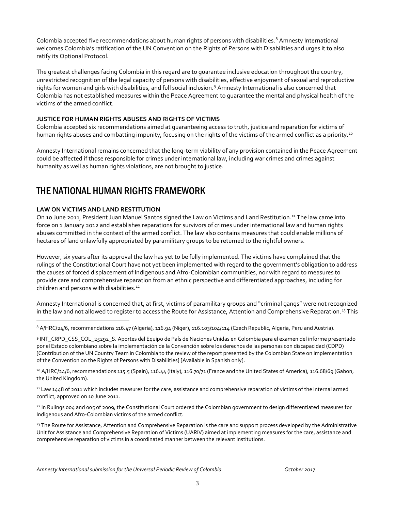Colombia accepted five recommendations about human rights of persons with disabilities. <sup>8</sup> Amnesty International welcomes Colombia's ratification of the UN Convention on the Rights of Persons with Disabilities and urges it to also ratify its Optional Protocol.

The greatest challenges facing Colombia in this regard are to guarantee inclusive education throughout the country, unrestricted recognition of the legal capacity of persons with disabilities, effective enjoyment of sexual and reproductive rights for women and girls with disabilities, and full social inclusion.<sup>9</sup> Amnesty International is also concerned that Colombia has not established measures within the Peace Agreement to guarantee the mental and physical health of the victims of the armed conflict.

#### **JUSTICE FOR HUMAN RIGHTS ABUSES AND RIGHTS OF VICTIMS**

Colombia accepted six recommendations aimed at guaranteeing access to truth, justice and reparation for victims of human rights abuses and combatting impunity, focusing on the rights of the victims of the armed conflict as a priority.<sup>10</sup>

Amnesty International remains concerned that the long-term viability of any provision contained in the Peace Agreement could be affected if those responsible for crimes under international law, including war crimes and crimes against humanity as well as human rights violations, are not brought to justice.

### THE NATIONAL HUMAN RIGHTS FRAMEWORK

#### **LAW ON VICTIMS AND LAND RESTITUTION**

 $\overline{a}$ 

On 10 June 2011, President Juan Manuel Santos signed the Law on Victims and Land Restitution.<sup>11</sup> The law came into force on 1 January 2012 and establishes reparations for survivors of crimes under international law and human rights abuses committed in the context of the armed conflict. The law also contains measures that could enable millions of hectares of land unlawfully appropriated by paramilitary groups to be returned to the rightful owners.

However, six years after its approval the law has yet to be fully implemented. The victims have complained that the rulings of the Constitutional Court have not yet been implemented with regard to the government's obligation to address the causes of forced displacement of Indigenous and Afro-Colombian communities, nor with regard to measures to provide care and comprehensive reparation from an ethnic perspective and differentiated approaches, including for children and persons with disabilities.<sup>12</sup>

Amnesty International is concerned that, at first, victims of paramilitary groups and "criminal gangs" were not recognized in the law and not allowed to register to access the Route for Assistance, Attention and Comprehensive Reparation.<sup>13</sup> This

<sup>8</sup> A/HRC/24/6, recommendations 116.47 (Algeria), 116.94 (Niger), 116.103/104/114 (Czech Republic, Algeria, Peru and Austria).

9 INT\_CRPD\_CSS\_COL\_25292\_S. Aportes del Equipo de País de Naciones Unidas en Colombia para el examen del informe presentado por el Estado colombiano sobre la implementación de la Convención sobre los derechos de las personas con discapacidad (CDPD) [Contribution of the UN Country Team in Colombia to the review of the report presented by the Colombian State on implementation of the Convention on the Rights of Persons with Disabilities] [Available in Spanish only].

10 A/HRC/24/6, recommendations 115.5 (Spain), 116.44 (Italy), 116.70/71 (France and the United States of America), 116.68/69 (Gabon, the United Kingdom).

<sup>11</sup> Law 1448 of 2011 which includes measures for the care, assistance and comprehensive reparation of victims of the internal armed conflict, approved on 10 June 2011.

12 In Rulings 004 and 005 of 2009, the Constitutional Court ordered the Colombian government to design differentiated measures for Indigenous and Afro-Colombian victims of the armed conflict.

<sup>13</sup> The Route for Assistance, Attention and Comprehensive Reparation is the care and support process developed by the Administrative Unit for Assistance and Comprehensive Reparation of Victims (UARIV) aimed at implementing measures for the care, assistance and comprehensive reparation of victims in a coordinated manner between the relevant institutions.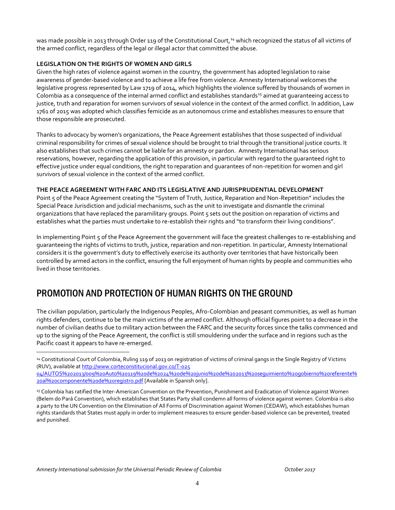was made possible in 2013 through Order 119 of the Constitutional Court,<sup>14</sup> which recognized the status of all victims of the armed conflict, regardless of the legal or illegal actor that committed the abuse.

#### **LEGISLATION ON THE RIGHTS OF WOMEN AND GIRLS**

Given the high rates of violence against women in the country, the government has adopted legislation to raise awareness of gender-based violence and to achieve a life free from violence. Amnesty International welcomes the legislative progress represented by Law 1719 of 2014, which highlights the violence suffered by thousands of women in Colombia as a consequence of the internal armed conflict and establishes standards<sup>15</sup> aimed at quaranteeing access to justice, truth and reparation for women survivors of sexual violence in the context of the armed conflict. In addition, Law 1761 of 2015 was adopted which classifies femicide as an autonomous crime and establishes measures to ensure that those responsible are prosecuted.

Thanks to advocacy by women's organizations, the Peace Agreement establishes that those suspected of individual criminal responsibility for crimes of sexual violence should be brought to trial through the transitional justice courts. It also establishes that such crimes cannot be liable for an amnesty or pardon. Amnesty International has serious reservations, however, regarding the application of this provision, in particular with regard to the guaranteed right to effective justice under equal conditions, the right to reparation and guarantees of non-repetition for women and girl survivors of sexual violence in the context of the armed conflict.

#### **THE PEACE AGREEMENT WITH FARC AND ITS LEGISLATIVE AND JURISPRUDENTIAL DEVELOPMENT**

Point 5 of the Peace Agreement creating the "System of Truth, Justice, Reparation and Non-Repetition" includes the Special Peace Jurisdiction and judicial mechanisms, such as the unit to investigate and dismantle the criminal organizations that have replaced the paramilitary groups. Point 5 sets out the position on reparation of victims and establishes what the parties must undertake to re-establish their rights and "to transform their living conditions".

In implementing Point 5 of the Peace Agreement the government will face the greatest challenges to re-establishing and guaranteeing the rights of victims to truth, justice, reparation and non-repetition. In particular, Amnesty International considers it is the government's duty to effectively exercise its authority over territories that have historically been controlled by armed actors in the conflict, ensuring the full enjoyment of human rights by people and communities who lived in those territories.

# PROMOTION AND PROTECTION OF HUMAN RIGHTS ON THE GROUND

The civilian population, particularly the Indigenous Peoples, Afro-Colombian and peasant communities, as well as human rights defenders, continue to be the main victims of the armed conflict. Although official figures point to a decrease in the number of civilian deaths due to military action between the FARC and the security forces since the talks commenced and up to the signing of the Peace Agreement, the conflict is still smouldering under the surface and in regions such as the Pacific coast it appears to have re-emerged.

 $\overline{a}$ 

<sup>14</sup> Constitutional Court of Colombia, Ruling 119 of 2013 on registration of victims of criminal gangs in the Single Registry of Victims (RUV), available a[t http://www.corteconstitucional.gov.co/T-025](http://www.corteconstitucional.gov.co/T-025%2004/AUTOS%202013/009%20Auto%20119%20de%2024%20de%20junio%20de%202013%20seguimiento%20gobierno%20referente%20al%20componente%20de%20registro.pdf) 

[<sup>04/</sup>AUTOS%202013/009%20Auto%20119%20de%2024%20de%20junio%20de%202013%20seguimiento%20gobierno%20referente%](http://www.corteconstitucional.gov.co/T-025%2004/AUTOS%202013/009%20Auto%20119%20de%2024%20de%20junio%20de%202013%20seguimiento%20gobierno%20referente%20al%20componente%20de%20registro.pdf) [20al%20componente%20de%20registro.pdf](http://www.corteconstitucional.gov.co/T-025%2004/AUTOS%202013/009%20Auto%20119%20de%2024%20de%20junio%20de%202013%20seguimiento%20gobierno%20referente%20al%20componente%20de%20registro.pdf) [Available in Spanish only].

<sup>15</sup> Colombia has ratified the Inter-American Convention on the Prevention, Punishment and Eradication of Violence against Women (Belem do Pará Convention), which establishes that States Party shall condemn all forms of violence against women. Colombia is also a party to the UN Convention on the Elimination of All Forms of Discrimination against Women (CEDAW), which establishes human rights standards that States must apply in order to implement measures to ensure gender-based violence can be prevented, treated and punished.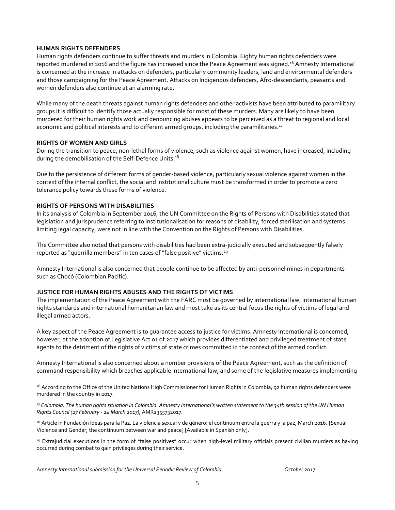#### **HUMAN RIGHTS DEFENDERS**

Human rights defenders continue to suffer threats and murders in Colombia. Eighty human rights defenders were reported murdered in 2016 and the figure has increased since the Peace Agreement was signed.<sup>16</sup> Amnesty International is concerned at the increase in attacks on defenders, particularly community leaders, land and environmental defenders and those campaigning for the Peace Agreement. Attacks on Indigenous defenders, Afro-descendants, peasants and women defenders also continue at an alarming rate.

While many of the death threats against human rights defenders and other activists have been attributed to paramilitary groups it is difficult to identify those actually responsible for most of these murders. Many are likely to have been murdered for their human rights work and denouncing abuses appears to be perceived as a threat to regional and local economic and political interests and to different armed groups, including the paramilitaries.<sup>17</sup>

#### **RIGHTS OF WOMEN AND GIRLS**

 $\overline{a}$ 

During the transition to peace, non-lethal forms of violence, such as violence against women, have increased, including during the demobilisation of the Self-Defence Units.<sup>18</sup>

Due to the persistence of different forms of gender-based violence, particularly sexual violence against women in the context of the internal conflict, the social and institutional culture must be transformed in order to promote a zero tolerance policy towards these forms of violence.

#### **RIGHTS OF PERSONS WITH DISABILITIES**

In its analysis of Colombia in September 2016, the UN Committee on the Rights of Persons with Disabilities stated that legislation and jurisprudence referring to institutionalisation for reasons of disability, forced sterilisation and systems limiting legal capacity, were not in line with the Convention on the Rights of Persons with Disabilities.

The Committee also noted that persons with disabilities had been extra-judicially executed and subsequently falsely reported as "querrilla members" in ten cases of "false positive" victims.<sup>19</sup>

Amnesty International is also concerned that people continue to be affected by anti-personnel mines in departments such as Chocó (Colombian Pacific).

#### **JUSTICE FOR HUMAN RIGHTS ABUSES AND THE RIGHTS OF VICTIMS**

The implementation of the Peace Agreement with the FARC must be governed by international law, international human rights standards and international humanitarian law and must take as its central focus the rights of victims of legal and illegal armed actors.

A key aspect of the Peace Agreement is to guarantee access to justice for victims. Amnesty International is concerned, however, at the adoption of Legislative Act 01 of 2017 which provides differentiated and privileged treatment of state agents to the detriment of the rights of victims of state crimes committed in the context of the armed conflict.

Amnesty International is also concerned about a number provisions of the Peace Agreement, such as the definition of command responsibility which breaches applicable international law, and some of the legislative measures implementing

<sup>18</sup> Article in Fundación Ideas para la Paz. La violencia sexual y de género: el continuum entre la guerra y la paz, March 2016. [Sexual Violence and Gender; the continuum between war and peace] [Available in Spanish only].

<sup>19</sup> Extrajudicial executions in the form of "false positives" occur when high-level military officials present civilian murders as having occurred during combat to gain privileges during their service.

<sup>&</sup>lt;sup>16</sup> According to the Office of the United Nations High Commissioner for Human Rights in Colombia, 92 human rights defenders were murdered in the country in 2017.

<sup>17</sup> *Colombia: The human rights situation in Colombia. Amnesty International's written statement to the 34th session of the UN Human Rights Council (27 February - 24 March 2017)*, AMR2355732017.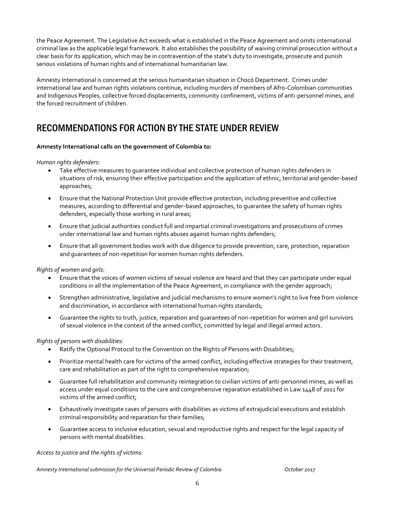the Peace Agreement. The Legislative Act exceeds what is established in the Peace Agreement and omits international criminal law as the applicable legal framework. It also establishes the possibility of waiving criminal prosecution without a clear basis for its application, which may be in contravention of the state's duty to investigate, prosecute and punish serious violations of human rights and of international humanitarian law.

Amnesty International is concerned at the serious humanitarian situation in Chocó Department. Crimes under international law and human rights violations continue, including murders of members of Afro-Colombian communities and Indigenous Peoples, collective forced displacements, community confinement, victims of anti-personnel mines, and the forced recruitment of children.

# RECOMMENDATIONS FOR ACTION BY THE STATE UNDER REVIEW

#### **Amnesty International calls on the government of Colombia to:**

#### *Human rights defenders:*

- Take effective measures to guarantee individual and collective protection of human rights defenders in situations of risk, ensuring their effective participation and the application of ethnic, territorial and gender-based approaches;
- Ensure that the National Protection Unit provide effective protection, including preventive and collective measures, according to differential and gender-based approaches, to guarantee the safety of human rights defenders, especially those working in rural areas;
- Ensure that judicial authorities conduct full and impartial criminal investigations and prosecutions of crimes under international law and human rights abuses against human rights defenders;
- Ensure that all government bodies work with due diligence to provide prevention, care, protection, reparation and guarantees of non-repetition for women human rights defenders.

*Rights of women and girls:*

- Ensure that the voices of women victims of sexual violence are heard and that they can participate under equal conditions in all the implementation of the Peace Agreement, in compliance with the gender approach;
- Strengthen administrative, legislative and judicial mechanisms to ensure women's right to live free from violence and discrimination, in accordance with international human rights standards;
- Guarantee the rights to truth, justice, reparation and guarantees of non-repetition for women and girl survivors of sexual violence in the context of the armed conflict, committed by legal and illegal armed actors.

#### *Rights of persons with disabilities:*

- Ratify the Optional Protocol to the Convention on the Rights of Persons with Disabilities;
- Prioritize mental health care for victims of the armed conflict, including effective strategies for their treatment, care and rehabilitation as part of the right to comprehensive reparation;
- Guarantee full rehabilitation and community reintegration to civilian victims of anti-personnel mines, as well as access under equal conditions to the care and comprehensive reparation established in Law 1448 of 2011 for victims of the armed conflict;
- Exhaustively investigate cases of persons with disabilities as victims of extrajudicial executions and establish criminal responsibility and reparation for their families;
- Guarantee access to inclusive education, sexual and reproductive rights and respect for the legal capacity of persons with mental disabilities.

*Access to justice and the rights of victims:*

*Amnesty International submission for the Universal Periodic Review of Colombia October 2017*